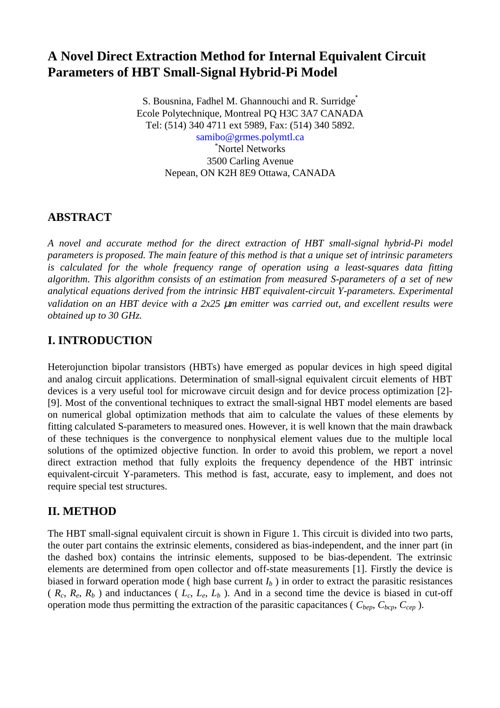# **A Novel Direct Extraction Method for Internal Equivalent Circuit Parameters of HBT Small-Signal Hybrid-Pi Model**

S. Bousnina, Fadhel M. Ghannouchi and R. Surridge<sup>\*</sup> Ecole Polytechnique, Montreal PQ H3C 3A7 CANADA Tel: (514) 340 4711 ext 5989, Fax: (514) 340 5892.

[samibo@grmes.polymtl.ca](mailto:samibo@grmes.polymtl.ca) \* Nortel Networks 3500 Carling Avenue Nepean, ON K2H 8E9 Ottawa, CANADA

## **ABSTRACT**

*A novel and accurate method for the direct extraction of HBT small-signal hybrid-Pi model parameters is proposed. The main feature of this method is that a unique set of intrinsic parameters is calculated for the whole frequency range of operation using a least-squares data fitting algorithm. This algorithm consists of an estimation from measured S-parameters of a set of new analytical equations derived from the intrinsic HBT equivalent-circuit Y-parameters. Experimental validation on an HBT device with a 2x25* µ*m emitter was carried out, and excellent results were obtained up to 30 GHz.*

# **I. INTRODUCTION**

Heterojunction bipolar transistors (HBTs) have emerged as popular devices in high speed digital and analog circuit applications. Determination of small-signal equivalent circuit elements of HBT devices is a very useful tool for microwave circuit design and for device process optimization [2]- [9]. Most of the conventional techniques to extract the small-signal HBT model elements are based on numerical global optimization methods that aim to calculate the values of these elements by fitting calculated S-parameters to measured ones. However, it is well known that the main drawback of these techniques is the convergence to nonphysical element values due to the multiple local solutions of the optimized objective function. In order to avoid this problem, we report a novel direct extraction method that fully exploits the frequency dependence of the HBT intrinsic equivalent-circuit Y-parameters. This method is fast, accurate, easy to implement, and does not require special test structures.

## **II. METHOD**

The HBT small-signal equivalent circuit is shown in Figure 1. This circuit is divided into two parts, the outer part contains the extrinsic elements, considered as bias-independent, and the inner part (in the dashed box) contains the intrinsic elements, supposed to be bias-dependent. The extrinsic elements are determined from open collector and off-state measurements [1]. Firstly the device is biased in forward operation mode ( high base current  $I_b$  ) in order to extract the parasitic resistances  $(R_c, R_e, R_b)$  and inductances  $(L_c, L_e, L_b)$ . And in a second time the device is biased in cut-off operation mode thus permitting the extraction of the parasitic capacitances ( $C_{bep}$ ,  $C_{bcp}$ ,  $C_{cep}$ ).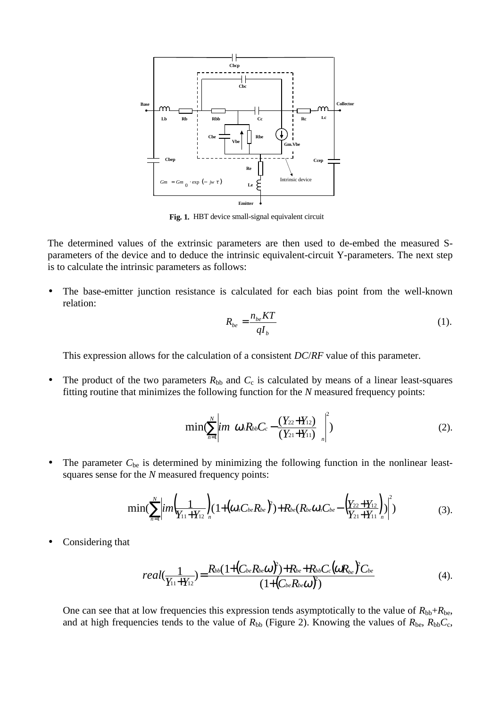

**Fig. 1.** HBT device small-signal equivalent circuit

The determined values of the extrinsic parameters are then used to de-embed the measured Sparameters of the device and to deduce the intrinsic equivalent-circuit Y-parameters. The next step is to calculate the intrinsic parameters as follows:

• The base-emitter junction resistance is calculated for each bias point from the well-known relation:

$$
R_{be} = \frac{n_{be}KT}{qI_b} \tag{1}
$$

This expression allows for the calculation of a consistent *DC*/*RF* value of this parameter.

• The product of the two parameters  $R_{bb}$  and  $C_c$  is calculated by means of a linear least-squares fitting routine that minimizes the following function for the *N* measured frequency points:

$$
\min(\sum_{n=1}^{N} \left| i \eta \left( \omega_n R_{bb} C_c - \frac{(Y_{22} + Y_{12})}{(Y_{21} + Y_{11})} \right) \right|^2) \tag{2}.
$$

• The parameter  $C_{be}$  is determined by minimizing the following function in the nonlinear leastsquares sense for the *N* measured frequency points:

$$
\min(\sum_{n=1}^N \left| i m \left( \frac{1}{Y_{11} + Y_{12}} \right) (1 + \left( \omega_n C_{be} R_{be} \right)^2) + R_{be} \left( R_{be} \omega_n C_{be} - \left( \frac{Y_{22} + Y_{12}}{Y_{21} + Y_{11}} \right)_n \right)^2) \tag{3}.
$$

• Considering that

$$
real(\frac{1}{Y_{11}+Y_{12}})=\frac{R_{bb}(1+(C_{be}R_{be}\omega)^2)+R_{be}+R_{bb}C_c(\omega R_{be})^2C_{be}}{(1+(C_{be}R_{be}\omega)^2)}
$$
(4).

One can see that at low frequencies this expression tends asymptotically to the value of  $R_{bb}+R_{be}$ , and at high frequencies tends to the value of  $R_{bb}$  (Figure 2). Knowing the values of  $R_{be}$ ,  $R_{bb}C_c$ ,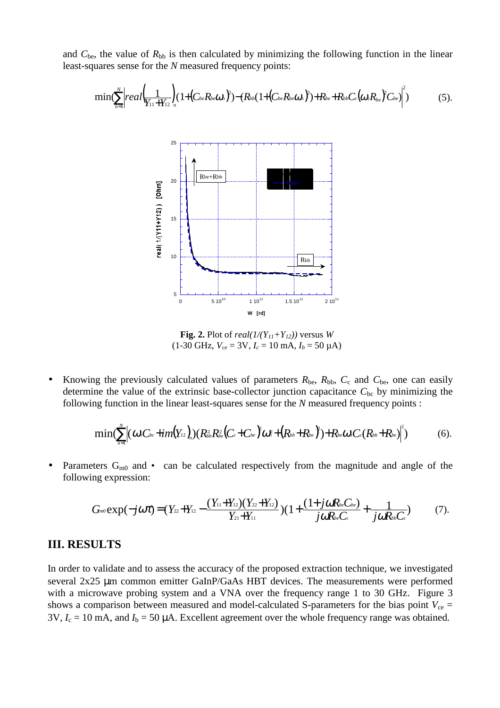and  $C_{be}$ , the value of  $R_{bb}$  is then calculated by minimizing the following function in the linear least-squares sense for the *N* measured frequency points:

$$
\min(\sum_{n=1}^{N} \left| real \left( \frac{1}{Y_{11} + Y_{12}} \right) (1 + \left( C_{be} R_{be} \omega_n \right)^2) - \left( R_{bb} \left( 1 + \left( C_{be} R_{be} \omega_n \right)^2 \right) + R_{be} + R_{bb} C_c \left( \omega_n R_{be} \right)^2 C_{be} \right)^2 \right) \tag{5}.
$$



**Fig. 2.** Plot of *real*( $1/(Y_{11}+Y_{12})$ ) versus *W*  $(1-30 \text{ GHz}, V_{ce} = 3V, I_c = 10 \text{ mA}, I_b = 50 \text{ }\mu\text{A})$ 

Knowing the previously calculated values of parameters  $R_{be}$ ,  $R_{bb}$ ,  $C_c$  and  $C_{be}$ , one can easily determine the value of the extrinsic base-collector junction capacitance  $C_{bc}$  by minimizing the following function in the linear least-squares sense for the *N* measured frequency points :

$$
\min(\sum_{n=1}^N\!\!\left|(\omega_nC_{bc}\!+\!im(Y_{12})_{\!_n})(R_{bb}^2R_{be}^2\!\left(C_c\!+\!C_{be}\right)^2\!\omega_n^2\!+\!\left(R_{bb}\!+\!R_{be}\right)^2)\!+\!R_{be}\omega_nC_c(R_{bb}\!+\!R_{be})\!\right|^2)\qquad \qquad (6).
$$

Parameters  $G_{m0}$  and • can be calculated respectively from the magnitude and angle of the following expression:

$$
G_{m0}\exp(-j\omega t)=(Y_{22}+Y_{12}-\frac{(Y_{11}+Y_{12})(Y_{22}+Y_{12})}{Y_{21}+Y_{11}})(1+\frac{(1+j\omega R_{be}C_{be})}{j\omega R_{be}C_{c}}+\frac{1}{j\omega R_{bb}C_{c}})
$$
(7).

#### **III. RESULTS**

In order to validate and to assess the accuracy of the proposed extraction technique, we investigated several 2x25 µm common emitter GaInP/GaAs HBT devices. The measurements were performed with a microwave probing system and a VNA over the frequency range 1 to 30 GHz. Figure 3 shows a comparison between measured and model-calculated S-parameters for the bias point  $V_{ce}$  =  $3V$ ,  $I_c = 10$  mA, and  $I_b = 50$  µA. Excellent agreement over the whole frequency range was obtained.